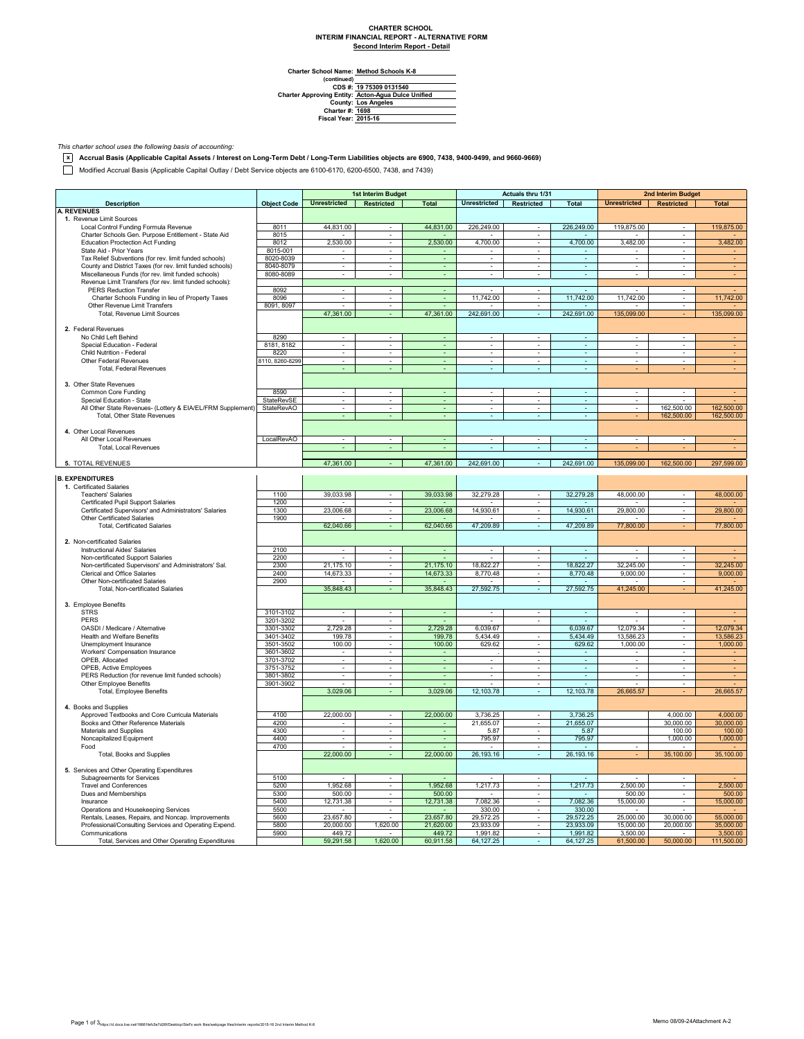## **CHARTER SCHOOL INTERIM FINANCIAL REPORT - ALTERNATIVE FORM Second Interim Report - Detail**

 $\overline{\phantom{0}}$ 

**Method Schools K-8**

Charter School Name<br>
(continued)<br>
CDS #:<br>
Charter Approving Entity:<br>
County:<br>
Charter #:<br>
Fiscal Year: **Los Angeles 1698 2015-16 19 75309 0131540 Acton-Agua Dulce Unified**

*This charter school uses the following basis of accounting:*

**x Accrual Basis (Applicable Capital Assets / Interest on Long-Term Debt / Long-Term Liabilities objects are 6900, 7438, 9400-9499, and 9660-9669)**

Modified Accrual Basis (Applicable Capital Outlay / Debt Service objects are 6100-6170, 6200-6500, 7438, and 7439)

|                                                             |                    | 1st Interim Budget          |                             | Actuals thru 1/31        |                             |                          | 2nd Interim Budget       |                             |                          |                |
|-------------------------------------------------------------|--------------------|-----------------------------|-----------------------------|--------------------------|-----------------------------|--------------------------|--------------------------|-----------------------------|--------------------------|----------------|
| <b>Description</b>                                          | <b>Object Code</b> | <b>Unrestricted</b>         | Restricted                  | <b>Total</b>             | <b>Unrestricted</b>         | Restricted               | <b>Total</b>             | Unrestricted Restricted     |                          | <b>Total</b>   |
| <b>A. REVENUES</b>                                          |                    |                             |                             |                          |                             |                          |                          |                             |                          |                |
| 1. Revenue Limit Sources                                    |                    |                             |                             |                          |                             |                          |                          |                             |                          |                |
| Local Control Funding Formula Revenue                       | 8011               | 44,831.00                   |                             | 44,831.00                | 226,249.00                  | $\sim$                   | 226,249.00               | 119,875.00                  |                          | 119,875.00     |
| Charter Schools Gen. Purpose Entitlement - State Aid        | 8015               |                             | ÷.                          |                          |                             | $\mathbf{r}$             |                          |                             | ÷                        |                |
| <b>Education Proctection Act Funding</b>                    | 8012               | 2,530.00                    | $\overline{\phantom{a}}$    | 2,530.00                 | 4,700.00                    | $\overline{\phantom{a}}$ | 4,700.00                 | 3,482.00                    | $\overline{\phantom{a}}$ | 3,482.00       |
| State Aid - Prior Years                                     | 8015-001           | $\overline{\phantom{a}}$    | $\blacksquare$              | $\blacksquare$           | $\overline{\phantom{a}}$    | $\overline{\phantom{a}}$ | $\overline{\phantom{a}}$ | $\overline{\phantom{a}}$    | $\overline{\phantom{a}}$ |                |
| Tax Relief Subventions (for rev. limit funded schools)      | 8020-8039          | $\overline{\phantom{a}}$    | $\overline{\phantom{a}}$    | ÷,                       | $\overline{\phantom{a}}$    | $\overline{\phantom{a}}$ | $\overline{\phantom{a}}$ | $\overline{\phantom{a}}$    | $\overline{\phantom{a}}$ |                |
| County and District Taxes (for rev. limit funded schools)   | 8040-8079          | ä,                          |                             | ä,                       | ä,                          | $\overline{\phantom{a}}$ | $\overline{\phantom{a}}$ |                             | $\overline{\phantom{a}}$ |                |
| Miscellaneous Funds (for rev. limit funded schools)         | 8080-8089          | ÷                           | $\sim$                      | ÷.                       | ÷.                          | $\sim$                   | $\sim$                   | $\mathbf{r}$                | ÷                        | $\sim$         |
| Revenue Limit Transfers (for rev. limit funded schools):    |                    |                             |                             |                          |                             |                          |                          |                             |                          |                |
| <b>PERS Reduction Transfer</b>                              | 8092               | ٠                           | $\overline{\phantom{a}}$    | ٠                        |                             | $\overline{\phantom{a}}$ |                          |                             | $\overline{\phantom{a}}$ |                |
| Charter Schools Funding in lieu of Property Taxes           | 8096               |                             |                             |                          | 11,742.00                   | $\overline{\phantom{a}}$ | 11,742.00                | 11,742.00                   |                          | 11,742.00      |
| Other Revenue Limit Transfers                               | 8091, 8097         |                             |                             | ÷,                       |                             | ÷                        |                          |                             | ×                        |                |
| Total, Revenue Limit Sources                                |                    | 47,361.00                   |                             | 47,361.00                | 242,691.00                  | $\sim$                   | 242,691.00               | 135,099.00                  |                          | 135,099.00     |
|                                                             |                    |                             |                             |                          |                             |                          |                          |                             |                          |                |
| 2. Federal Revenues                                         |                    |                             |                             |                          |                             |                          |                          |                             |                          |                |
| No Child Left Behind                                        | 8290               |                             |                             |                          |                             |                          |                          |                             |                          |                |
| Special Education - Federal                                 | 8181, 8182         | $\blacksquare$              | ×.                          | ä,                       | $\blacksquare$              | $\overline{\phantom{a}}$ | $\omega$                 | $\mathcal{L}_{\mathcal{A}}$ | ÷                        |                |
| Child Nutrition - Federal                                   | 8220               | ÷.                          | $\sim$                      | ÷                        | $\mathcal{L}_{\mathcal{A}}$ | $\alpha$                 | $\mathbb{Z}^2$           | $\sim$                      | $\tilde{\phantom{a}}$    |                |
| Other Federal Revenues                                      | 8110, 8260-8299    |                             |                             | $\overline{\phantom{a}}$ | $\overline{\phantom{a}}$    | $\overline{\phantom{a}}$ | $\sim$                   |                             |                          |                |
| <b>Total, Federal Revenues</b>                              |                    | $\sim$                      |                             | $\sim$                   | ÷                           | $\sim$                   | ÷.                       |                             |                          |                |
|                                                             |                    |                             |                             |                          |                             |                          |                          |                             |                          |                |
| 3. Other State Revenues                                     |                    |                             |                             |                          |                             |                          |                          |                             |                          |                |
| Common Core Funding                                         | 8590               | $\mathbf{r}$                | ÷.                          | ÷.                       | $\mathbb{Z}^+$              | $\sim$                   | $\mathbb{Z}^2$           | ÷.                          | ÷.                       |                |
| Special Education - State                                   | StateRevSE         | $\overline{\phantom{a}}$    | $\overline{\phantom{a}}$    | $\sim$                   | $\overline{\phantom{a}}$    | $\overline{\phantom{a}}$ | $\omega$                 | $\overline{\phantom{a}}$    |                          |                |
| All Other State Revenues- (Lottery & EIA/EL/FRM Supplement) | <b>StateRevAO</b>  | $\sim$                      | ٠                           | $\sim$                   | $\sim$                      | $\sim$                   | $\sim$                   |                             | 162,500.00               | 162,500.00     |
| Total, Other State Revenues                                 |                    |                             |                             |                          |                             |                          |                          |                             | 162,500.00               | 162,500.00     |
|                                                             |                    |                             |                             |                          |                             |                          |                          |                             |                          |                |
| 4. Other Local Revenues                                     |                    |                             |                             |                          |                             |                          |                          |                             |                          |                |
| All Other Local Revenues                                    | LocalRevAO         | $\overline{\phantom{a}}$    | $\blacksquare$              | $\omega$                 | $\blacksquare$              | $\overline{\phantom{a}}$ | $\omega$                 | $\overline{\phantom{a}}$    | ÷,                       | $\blacksquare$ |
| Total, Local Revenues                                       |                    |                             |                             |                          |                             |                          |                          |                             |                          |                |
|                                                             |                    |                             |                             |                          |                             |                          |                          |                             |                          |                |
|                                                             |                    | 47,361.00                   | ÷.                          | 47,361.00                | 242,691.00                  | $\sim$                   | 242,691.00               | 135,099.00                  | 162,500.00               | 297,599.00     |
| 5. TOTAL REVENUES                                           |                    |                             |                             |                          |                             |                          |                          |                             |                          |                |
|                                                             |                    |                             |                             |                          |                             |                          |                          |                             |                          |                |
| <b>B. EXPENDITURES</b><br>1. Certificated Salaries          |                    |                             |                             |                          |                             |                          |                          |                             |                          |                |
|                                                             |                    |                             |                             |                          |                             |                          |                          |                             |                          |                |
| <b>Teachers' Salaries</b>                                   | 1100               | 39,033.98                   |                             | 39,033.98                | 32,279.28                   |                          | 32,279.28                | 48,000.00                   |                          | 48,000.00      |
| Certificated Pupil Support Salaries                         | 1200               |                             | $\sim$                      |                          |                             | $\sim$                   |                          |                             | $\sim$                   |                |
| Certificated Supervisors' and Administrators' Salaries      | 1300               | 23,006.68                   | ä,                          | 23,006.68                | 14,930.61                   | $\sim$                   | 14,930.61                | 29,800.00                   | $\overline{\phantom{a}}$ | 29,800.00      |
| <b>Other Certificated Salaries</b>                          | 1900               |                             | $\overline{\phantom{a}}$    |                          |                             | $\overline{\phantom{a}}$ |                          |                             | $\overline{\phantom{a}}$ |                |
| <b>Total, Certificated Salaries</b>                         |                    | 62,040.66                   | $\sim$                      | 62,040.66                | 47,209.89                   | $\sim$                   | 47,209.89                | 77,800.00                   |                          | 77,800.00      |
|                                                             |                    |                             |                             |                          |                             |                          |                          |                             |                          |                |
| 2. Non-certificated Salaries                                |                    |                             |                             |                          |                             |                          |                          |                             |                          |                |
| Instructional Aides' Salaries                               | 2100               | $\mathbf{r}$                | $\sim$                      | ÷                        | $\mathbf{r}$                | $\sim$                   | ÷.                       | $\sim$                      | $\sim$                   |                |
| Non-certificated Support Salaries                           | 2200               | $\overline{\phantom{a}}$    | $\overline{\phantom{a}}$    |                          | $\overline{\phantom{a}}$    | $\overline{\phantom{a}}$ | $\mathbf{r}$             |                             | $\overline{\phantom{a}}$ |                |
| Non-certificated Supervisors' and Administrators' Sal.      | 2300               | 21,175.10                   | $\overline{\phantom{a}}$    | 21,175.10                | 18,822.27                   | ٠                        | 18,822.27                | 32,245.00                   | $\overline{\phantom{a}}$ | 32,245.00      |
| Clerical and Office Salaries                                | 2400               | 14,673.33                   |                             | 14,673.33                | 8,770.48                    | ÷.                       | 8,770.48                 | 9,000.00                    | $\overline{\phantom{a}}$ | 9,000.00       |
| Other Non-certificated Salaries                             | 2900               |                             | ×.                          |                          |                             | ÷.                       |                          |                             | ÷                        |                |
| Total, Non-certificated Salaries                            |                    | 35,848.43                   | ÷.                          | 35,848.43                | 27,592.75                   | $\omega$                 | 27,592.75                | 41,245.00                   |                          | 41,245.00      |
|                                                             |                    |                             |                             |                          |                             |                          |                          |                             |                          |                |
| 3. Employee Benefits                                        |                    |                             |                             |                          |                             |                          |                          |                             |                          |                |
| <b>STRS</b>                                                 | 3101-3102          | $\overline{\phantom{a}}$    | $\sim$                      | $\sim$                   | $\overline{\phantom{a}}$    | $\overline{\phantom{a}}$ | $\sim$                   | $\overline{\phantom{a}}$    | $\overline{\phantom{a}}$ |                |
| PERS                                                        | 3201-3202          | ÷                           | $\sim$                      |                          | $\mathbf{r}$                | ÷.                       |                          |                             | ×.                       |                |
| OASDI / Medicare / Alternative                              | 3301-3302          | 2,729.28                    | $\mathcal{L}_{\mathcal{A}}$ | 2,729.28                 | 6,039.67                    |                          | 6,039.67                 | 12,079.34                   | ÷,                       | 12,079.34      |
| Health and Welfare Benefits                                 | 3401-3402          | 199.78                      | $\overline{\phantom{a}}$    | 199.78                   | 5,434.49                    |                          | 5,434.49                 | 13,586.23                   | $\overline{\phantom{a}}$ | 13,586.23      |
| Unemployment Insurance                                      | 3501-3502          | 100.00                      |                             | 100.00                   | 629.62                      |                          | 629.62                   | 1,000.00                    | ÷                        | 1,000.00       |
| Workers' Compensation Insurance                             | 3601-3602          | $\overline{\phantom{a}}$    | $\overline{\phantom{a}}$    | $\overline{\phantom{a}}$ |                             | $\overline{\phantom{a}}$ | ÷                        |                             | $\overline{\phantom{a}}$ |                |
| OPEB, Allocated                                             | 3701-3702          | $\mathcal{L}_{\mathcal{A}}$ | $\sim$                      | $\omega$                 | $\overline{\phantom{a}}$    | $\sim$                   | $\omega$                 | $\overline{\phantom{a}}$    | $\overline{\phantom{a}}$ | $\sim$         |
| OPEB, Active Employees                                      | 3751-3752          | $\sim$                      | $\mathcal{L}_{\mathcal{A}}$ | $\sim$                   | $\sim$                      | $\sim$                   | $\omega$                 | $\sim$                      | ÷.                       |                |
| PERS Reduction (for revenue limit funded schools)           | 3801-3802          | $\sim$                      | $\sim$                      | $\blacksquare$           | $\sim$                      | $\sim$                   | $\sim$                   | $\sim$                      | $\sim$                   | $\sim$         |
| Other Employee Benefits                                     | 3901-3902          |                             |                             |                          |                             |                          |                          |                             |                          |                |
| Total, Employee Benefits                                    |                    | 3,029.06                    | ÷.                          | 3,029.06                 | 12,103.78                   | ÷.                       | 12,103.78                | 26,665.57                   |                          | 26,665.57      |
|                                                             |                    |                             |                             |                          |                             |                          |                          |                             |                          |                |
| 4. Books and Supplies                                       |                    |                             |                             |                          |                             |                          |                          |                             |                          |                |
| Approved Textbooks and Core Curricula Materials             | 4100               | 22,000.00                   | $\sim$                      | 22,000.00                | 3.736.25                    | $\sim$                   | 3.736.25                 |                             | 4.000.00                 | 4,000.00       |
| Books and Other Reference Materials                         | 4200               |                             |                             |                          | 21,655.07                   |                          | 21,655.07                |                             | 30,000.00                | 30,000.00      |
| Materials and Supplies                                      | 4300               | ÷                           | ÷.                          | ÷                        | 5.87                        | ÷                        | 5.87                     |                             | 100.00                   | 100.00         |
| Noncapitalized Equipment                                    | 4400               | $\mathbf{r}$                | $\sim$                      | ÷.                       | 795.97                      | ÷                        | 795.97                   |                             | 1,000.00                 | 1,000.00       |
| Food                                                        | 4700               | $\sim$                      | $\blacksquare$              | $\sim$                   | $\sim$                      | $\overline{\phantom{a}}$ | $\sim$                   | $\overline{\phantom{a}}$    |                          |                |
| Total, Books and Supplies                                   |                    | 22,000.00                   |                             | 22,000.00                | 26,193.16                   | $\sim$                   | 26, 193. 16              |                             | 35,100.00                | 35,100.00      |
|                                                             |                    |                             |                             |                          |                             |                          |                          |                             |                          |                |
| 5. Services and Other Operating Expenditures                |                    |                             |                             |                          |                             |                          |                          |                             |                          |                |
| Subagreements for Services                                  | 5100               |                             | $\overline{\phantom{a}}$    |                          |                             | $\overline{\phantom{a}}$ |                          |                             | $\overline{\phantom{a}}$ |                |
| <b>Travel and Conferences</b>                               | 5200               | 1,952.68                    | $\overline{\phantom{a}}$    | 1,952.68                 | 1,217.73                    | $\overline{\phantom{a}}$ | 1,217.73                 | 2,500.00                    | $\overline{\phantom{a}}$ | 2,500.00       |
| Dues and Memberships                                        | 5300               | 500.00                      | $\overline{\phantom{a}}$    | 500.00                   |                             | ٠                        |                          | 500.00                      | $\overline{\phantom{a}}$ | 500.00         |
| Insurance                                                   | 5400               | 12,731.38                   |                             | 12,731.38                | 7,082.36                    | $\overline{\phantom{a}}$ | 7,082.36                 | 15,000.00                   | $\overline{\phantom{a}}$ | 15,000.00      |
| Operations and Housekeeping Services                        | 5500               |                             | $\sim$                      |                          | 330.00                      | $\sim$                   | 330.00                   |                             | $\sim$                   |                |
| Rentals, Leases, Repairs, and Noncap. Improvements          | 5600               | 23,657.80                   | $\sim$                      | 23,657.80                | 29,572.25                   | $\sim$                   | 29,572.25                | 25,000.00                   | 30,000.00                | 55,000.00      |
| Professional/Consulting Services and Operating Expend.      | 5800               | 20,000.00                   | 1,620.00                    | 21,620.00                | 23,933.09                   |                          | 23,933.09                | 15,000.00                   | 20,000.00                | 35,000.00      |
| Communications                                              | 5900               | 449.72                      |                             | 449.72                   | 1,991.82                    | $\overline{\phantom{a}}$ | 1,991.82                 | 3,500.00                    |                          | 3,500.00       |
| Total, Services and Other Operating Expenditures            |                    | 59,291.58                   | 1,620.00                    | 60,911.58                | 64,127.25                   |                          | 64,127.25                |                             | 50,000.00                | 111,500.00     |
|                                                             |                    |                             |                             |                          |                             |                          |                          | 61,500.00                   |                          |                |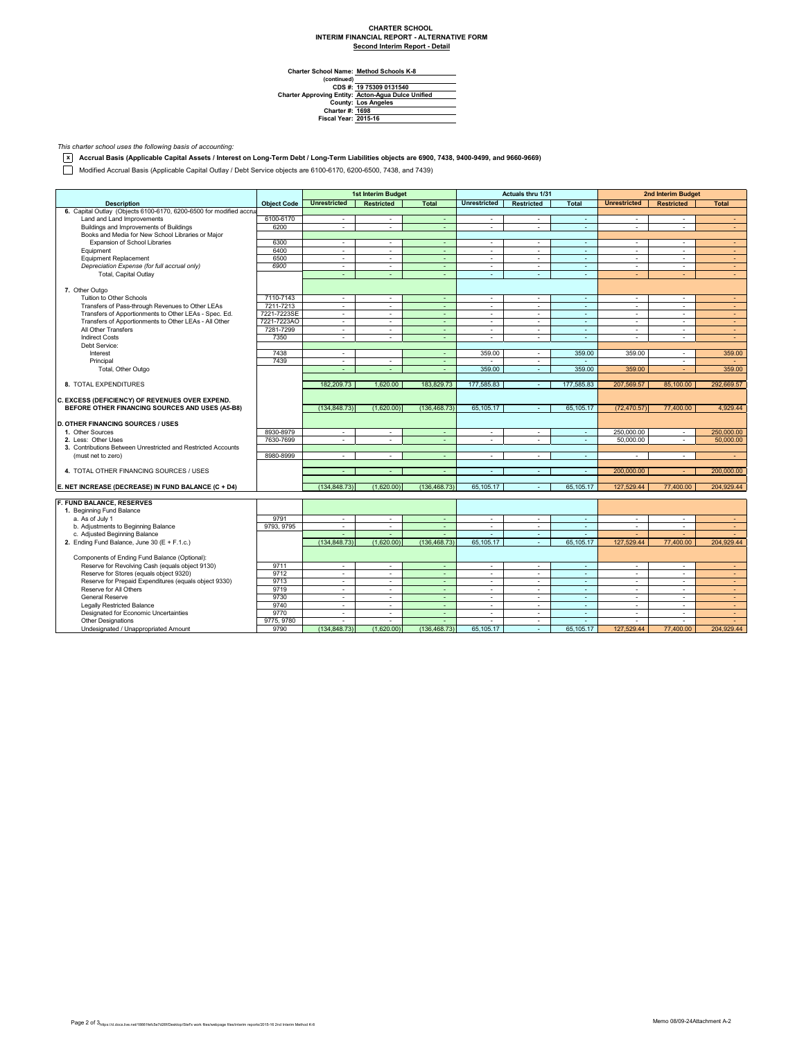## **CHARTER SCHOOL INTERIM FINANCIAL REPORT - ALTERNATIVE FORM Second Interim Report - Detail**

 $\overline{\phantom{0}}$ 

**Method Schools K-8**

Charter School Name<br>
(continued)<br>
CDS #:<br>
Charter Approving Entity:<br>
County:<br>
Charter #:<br>
Fiscal Year: **Los Angeles 1698 2015-16 19 75309 0131540 Acton-Agua Dulce Unified**

*This charter school uses the following basis of accounting:*

**x Accrual Basis (Applicable Capital Assets / Interest on Long-Term Debt / Long-Term Liabilities objects are 6900, 7438, 9400-9499, and 9660-9669)**

Modified Accrual Basis (Applicable Capital Outlay / Debt Service objects are 6100-6170, 6200-6500, 7438, and 7439)

|                                                                                 |                    | 1st Interim Budget       |                   | Actuals thru 1/31        |                          |                          | 2nd Interim Budget       |                          |                   |                                    |
|---------------------------------------------------------------------------------|--------------------|--------------------------|-------------------|--------------------------|--------------------------|--------------------------|--------------------------|--------------------------|-------------------|------------------------------------|
| <b>Description</b>                                                              | <b>Object Code</b> | <b>Unrestricted</b>      | <b>Restricted</b> | <b>Total</b>             | <b>Unrestricted</b>      | <b>Restricted</b>        | <b>Total</b>             | <b>Unrestricted</b>      | <b>Restricted</b> | <b>Total</b>                       |
| 6. Capital Outlay (Objects 6100-6170, 6200-6500 for modified accrua             |                    |                          |                   |                          |                          |                          |                          |                          |                   |                                    |
| Land and Land Improvements                                                      | 6100-6170          | ÷.                       | $\sim$            | $\sim$                   | $\sim$                   | ×.                       | $\sim$                   | $\sim$                   | $\mathbf{r}$      | $\sim$                             |
| Buildings and Improvements of Buildings                                         | 6200               | ÷                        | $\sim$            | ÷.                       | ÷                        | ÷                        | ×.                       | ÷.                       | ä,                | $\sim$                             |
| Books and Media for New School Libraries or Major                               |                    |                          |                   |                          |                          |                          |                          |                          |                   |                                    |
| Expansion of School Libraries                                                   | 6300               | ÷                        | $\sim$            | $\blacksquare$           | $\sim$                   | ×.                       | ×.                       | ×                        | ä,                | $\sim$                             |
| Equipment                                                                       | 6400               | $\mathbf{r}$             | $\sim$            | ÷.                       | $\sim$                   | ÷                        | ×.                       | $\sim$                   | ÷.                | $\sim$                             |
| <b>Equipment Replacement</b>                                                    | 6500               | $\sim$                   | $\sim$            | ÷                        | $\overline{\phantom{a}}$ | $\sim$                   | $\sim$                   | $\overline{\phantom{a}}$ | ٠                 | $\sim$                             |
| Depreciation Expense (for full accrual only)                                    | 6900               | $\sim$                   | $\sim$            | $\blacksquare$           | $\blacksquare$           | $\overline{\phantom{a}}$ | $\sim$                   | $\overline{\phantom{a}}$ | ٠                 | $\sim$                             |
| Total, Capital Outlay                                                           |                    | ÷                        | ÷                 | ÷.                       | ÷                        | ÷.                       | ä,                       | ÷                        |                   | $\sim$                             |
|                                                                                 |                    |                          |                   |                          |                          |                          |                          |                          |                   |                                    |
| 7. Other Outgo                                                                  |                    |                          |                   |                          |                          |                          |                          |                          |                   |                                    |
| Tuition to Other Schools                                                        | 7110-7143          | ÷                        | $\sim$            | ÷                        | ÷                        | $\sim$                   | ÷.                       | $\Delta$                 | ٠                 | $\overline{a}$                     |
| Transfers of Pass-through Revenues to Other LEAs                                | 7211-7213          | $\sim$                   | $\sim$            | $\sim$                   | $\overline{\phantom{a}}$ | $\sim$                   | $\sim$                   | $\overline{\phantom{a}}$ | $\sim$            | $\sim$                             |
| Transfers of Apportionments to Other LEAs - Spec. Ed.                           | 7221-7223SE        | ÷                        | $\sim$            | $\sim$                   | $\sim$                   | $\sim$                   | $\sim$                   | $\overline{a}$           | ÷                 | $\sim$                             |
| Transfers of Apportionments to Other LEAs - All Other                           | 7221-7223AO        | ÷.                       | $\sim$            | ÷.                       | ä,                       | ÷                        | $\sim$                   | $\sim$                   | ÷                 | ÷.                                 |
| All Other Transfers                                                             | 7281-7299          | $\sim$                   | $\sim$            | $\sim$                   | $\sim$                   | $\sim$                   | $\sim$                   | $\sim$                   | ٠                 | $\sim$                             |
| <b>Indirect Costs</b>                                                           | 7350               | $\sim$                   | $\sim$            | $\sim$                   | $\mathbf{r}$             | $\sim$                   | $\sim$                   | $\Delta$                 | ÷.                | $\sim$                             |
| Debt Service:                                                                   |                    |                          |                   |                          |                          |                          |                          |                          |                   |                                    |
| Interest                                                                        | 7438               | $\sim$                   |                   | $\sim$                   | 359.00                   | $\sim$                   | 359.00                   | 359.00                   | $\sim$            | 359.00                             |
|                                                                                 | 7439               |                          |                   |                          |                          |                          |                          |                          |                   |                                    |
| Principal                                                                       |                    | $\sim$<br>÷              | $\sim$<br>÷       | $\sim$                   | 359.00                   | $\sim$                   | $\sim$<br>359.00         |                          | ٠<br>÷            | $\overline{\phantom{a}}$<br>359.00 |
| Total, Other Outgo                                                              |                    |                          |                   | $\omega$                 |                          | ÷.                       |                          | 359.00                   |                   |                                    |
|                                                                                 |                    |                          |                   |                          |                          |                          |                          |                          |                   |                                    |
| 8. TOTAL EXPENDITURES                                                           |                    | 182,209.73               | 1.620.00          | 183,829.73               | 177,585.83               | $\sim$                   | 177,585.83               | 207,569.57               | 85,100.00         | 292,669.57                         |
|                                                                                 |                    |                          |                   |                          |                          |                          |                          |                          |                   |                                    |
| C. EXCESS (DEFICIENCY) OF REVENUES OVER EXPEND.                                 |                    |                          | (1.620.00)        |                          |                          | ÷.                       |                          |                          |                   | 4,929.44                           |
| BEFORE OTHER FINANCING SOURCES AND USES (A5-B8)                                 |                    | (134, 848.73)            |                   | (136, 468.73)            | 65,105.17                |                          | 65,105.17                | (72, 470.57)             | 77,400.00         |                                    |
| <b>D. OTHER FINANCING SOURCES / USES</b>                                        |                    |                          |                   |                          |                          |                          |                          |                          |                   |                                    |
| 1. Other Sources                                                                | 8930-8979          | $\sim$                   |                   |                          | $\mathbf{r}$             | $\sim$                   |                          | 250.000.00               | $\mathbf{r}$      | 250,000,00                         |
|                                                                                 |                    |                          | $\sim$            | $\blacksquare$<br>$\sim$ | ÷.                       |                          | $\mathcal{L}$            |                          | ÷                 |                                    |
| 2. Less: Other Uses                                                             | 7630-7699          | ÷                        | $\sim$            |                          |                          | $\sim$                   | ×.                       | 50.000.00                |                   | 50,000.00                          |
| 3. Contributions Between Unrestricted and Restricted Accounts                   |                    |                          |                   |                          |                          |                          |                          |                          |                   |                                    |
| (must net to zero)                                                              | 8980-8999          | $\sim$                   | $\sim$            | ٠                        | $\blacksquare$           | $\sim$                   | $\overline{\phantom{a}}$ | $\Delta$                 | $\mathbf{r}$      | $\sim$                             |
|                                                                                 |                    |                          |                   |                          |                          |                          |                          |                          |                   |                                    |
| 4. TOTAL OTHER FINANCING SOURCES / USES                                         |                    | $\overline{\phantom{a}}$ | $\sim$            | $\sim$                   | $\sim$                   | ÷.                       | $\sim$                   | 200,000.00               |                   | 200,000.00                         |
|                                                                                 |                    |                          |                   |                          |                          |                          |                          |                          |                   |                                    |
| E. NET INCREASE (DECREASE) IN FUND BALANCE (C + D4)                             |                    | (134, 848.73)            | (1,620.00)        | (136, 468.73)            | 65,105.17                |                          | 65,105.17                | 127,529.44               | 77,400.00         | 204,929.44                         |
| F. FUND BALANCE, RESERVES                                                       |                    |                          |                   |                          |                          |                          |                          |                          |                   |                                    |
| 1. Beginning Fund Balance                                                       |                    |                          |                   |                          |                          |                          |                          |                          |                   |                                    |
| a. As of July 1                                                                 | 9791               | $\sim$                   | $\sim$            | ÷                        | $\overline{\phantom{a}}$ | $\sim$                   | $\sim$                   | $\sim$                   | ٠                 | $\sim$                             |
| b. Adjustments to Beginning Balance                                             | 9793, 9795         | ٠                        | $\sim$            | ä,                       | $\blacksquare$           | $\overline{\phantom{a}}$ | $\omega$                 | $\overline{\phantom{a}}$ | ÷.                | ÷                                  |
| c. Adjusted Beginning Balance                                                   |                    | $\sim$                   | $\sim$            | $\sim$                   | $\sim$                   | $\sim$                   | $\sim$                   | $\overline{a}$           | ÷                 | $\sim$                             |
| 2. Ending Fund Balance, June 30 (E + F.1.c.)                                    |                    | (134, 848.73)            | (1,620.00)        | (136, 468.73)            | 65.105.17                | $\sim$                   | 65,105.17                | 127,529.44               | 77,400.00         | 204,929.44                         |
|                                                                                 |                    |                          |                   |                          |                          |                          |                          |                          |                   |                                    |
|                                                                                 |                    |                          |                   |                          |                          |                          |                          |                          |                   |                                    |
| Components of Ending Fund Balance (Optional):                                   | 9711               | ×.                       | $\sim$            | ÷.                       | $\sim$                   | ×.                       | $\sim$                   | $\sim$                   | ÷                 |                                    |
| Reserve for Revolving Cash (equals object 9130)                                 | 9712               |                          |                   | ÷.                       |                          |                          |                          |                          |                   | $\sim$                             |
| Reserve for Stores (equals object 9320)                                         | 9713               | $\sim$                   | $\sim$            |                          | $\blacksquare$           | $\overline{\phantom{a}}$ | $\omega$                 | $\blacksquare$           | ٠                 | ÷                                  |
| Reserve for Prepaid Expenditures (equals object 9330)<br>Reserve for All Others | 9719               | $\overline{\phantom{a}}$ | $\sim$            | ÷                        | $\sim$                   | $\sim$                   | $\sim$                   | $\sim$                   | ÷<br>÷            | $\sim$                             |
|                                                                                 |                    | ×.                       | $\sim$            | ÷.                       | $\sim$                   | $\sim$                   | $\sim$                   | $\sim$                   |                   | $\sim$                             |
| <b>General Reserve</b>                                                          | 9730               | ×.                       | $\sim$            | ä,                       | ä,                       | $\sim$                   | $\sim$                   | $\blacksquare$           | ٠                 | $\sim$                             |
| <b>Legally Restricted Balance</b>                                               | 9740               | $\sim$                   | $\sim$            | $\sim$                   | $\sim$                   | $\sim$                   | $\sim$                   | $\sim$                   | $\mathbf{r}$      | $\sim$                             |
| Designated for Economic Uncertainties                                           | 9770               | $\sim$                   | $\sim$            | $\sim$                   | $\overline{\phantom{a}}$ | $\sim$                   | $\sim$                   | $\sim$                   | ٠                 | $\sim$                             |
| <b>Other Designations</b>                                                       | 9775, 9780         |                          |                   | ÷                        | $\overline{a}$           | $\sim$                   | ÷.                       |                          |                   |                                    |
| Undesignated / Unappropriated Amount                                            | 9790               | (134, 848.73)            | (1,620.00)        | (136, 468.73)            | 65,105.17                | $\sim$                   | 65.105.17                | 127.529.44               | 77,400.00         | 204.929.44                         |